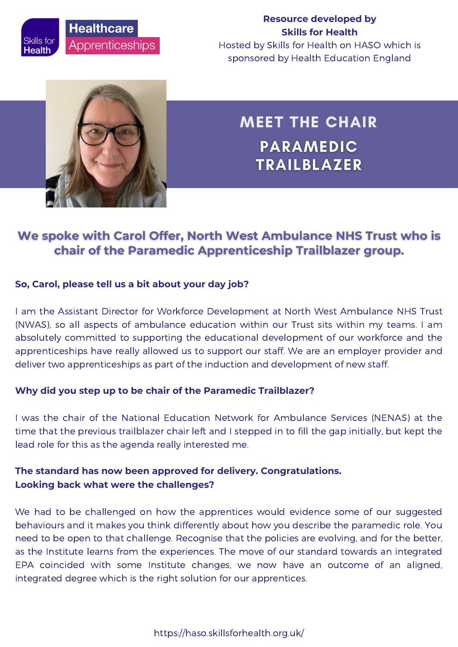### **Resource developed by Skills for Health**

Hosted by Skills for Health on HASO which is sponsored by Health Education England



# MEET THE CHAIR **PARAMEDIC TRAILBLAZER**

# We spoke with Carol Offer, North West Ambulance NHS Trust who is chair of the Paramedic Apprenticeship Trailblazer group.

### **So, Carol, please tell us a bit about your day job?**

I am the Assistant Director for Workforce Development at North West Ambulance NHS Trust (NWAS), so all aspects of ambulance education within our Trust sits within my teams. I am absolutely committed to supporting the educational development of our workforce and the apprenticeships have really allowed us to support our staff. We are an employer provider and deliver two apprenticeships as part of the induction and development of new staff.

### **Why did you step up to be chair of the Paramedic Trailblazer?**

I was the chair of the National Education Network for Ambulance Services (NENAS) at the time that the previous trailblazer chair left and I stepped in to fill the gap initially, but kept the lead role for this as the agenda really interested me.

## **The standard has now been approved for delivery. Congratulations. Looking back what were the challenges?**

We had to be challenged on how the apprentices would evidence some of our suggested behaviours and it makes you think differently about how you describe the paramedic role. You need to be open to that challenge. Recognise that the policies are evolving, and for the better, as the Institute learns from the experiences. The move of our standard towards an integrated EPA coincided with some Institute changes, we now have an outcome of an aligned, integrated degree which is the right solution for our apprentices.